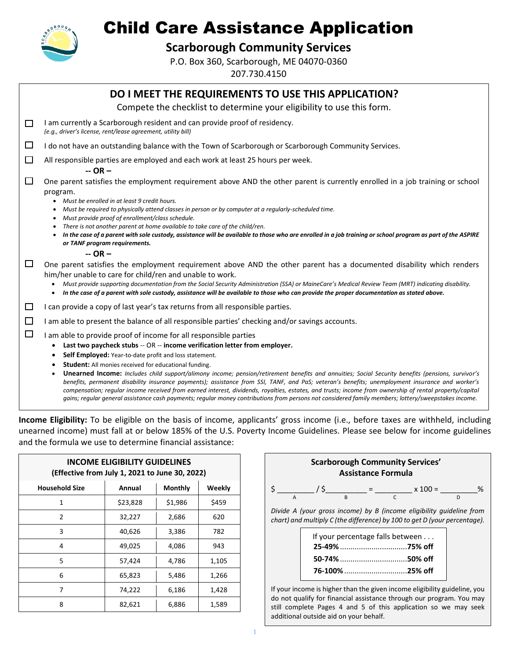

# Child Care Assistance Application

**Scarborough Community Services**

P.O. Box 360, Scarborough, ME 04070-0360 207.730.4150

|        | DO I MEET THE REQUIREMENTS TO USE THIS APPLICATION?                                                                                                                                                                                                                                                                                                                                                                                                                  |
|--------|----------------------------------------------------------------------------------------------------------------------------------------------------------------------------------------------------------------------------------------------------------------------------------------------------------------------------------------------------------------------------------------------------------------------------------------------------------------------|
|        | Compete the checklist to determine your eligibility to use this form.                                                                                                                                                                                                                                                                                                                                                                                                |
| $\Box$ | I am currently a Scarborough resident and can provide proof of residency.<br>(e.g., driver's license, rent/lease agreement, utility bill)                                                                                                                                                                                                                                                                                                                            |
| $\Box$ | I do not have an outstanding balance with the Town of Scarborough or Scarborough Community Services.                                                                                                                                                                                                                                                                                                                                                                 |
| $\Box$ | All responsible parties are employed and each work at least 25 hours per week.<br>$-OR-$                                                                                                                                                                                                                                                                                                                                                                             |
| □      | One parent satisfies the employment requirement above AND the other parent is currently enrolled in a job training or school<br>program.                                                                                                                                                                                                                                                                                                                             |
|        | Must be enrolled in at least 9 credit hours.<br>$\bullet$<br>Must be required to physically attend classes in person or by computer at a reqularly-scheduled time.<br>$\bullet$<br>Must provide proof of enrollment/class schedule.<br>$\bullet$                                                                                                                                                                                                                     |
|        | There is not another parent at home available to take care of the child/ren.<br>In the case of a parent with sole custody, assistance will be available to those who are enrolled in a job training or school program as part of the ASPIRE<br>or TANF program requirements.                                                                                                                                                                                         |
|        | $-OR -$                                                                                                                                                                                                                                                                                                                                                                                                                                                              |
| $\Box$ | One parent satisfies the employment requirement above AND the other parent has a documented disability which renders<br>him/her unable to care for child/ren and unable to work.                                                                                                                                                                                                                                                                                     |
|        | Must provide supporting documentation from the Social Security Administration (SSA) or MaineCare's Medical Review Team (MRT) indicating disability.<br>$\bullet$<br>In the case of a parent with sole custody, assistance will be available to those who can provide the proper documentation as stated above.<br>$\bullet$                                                                                                                                          |
| ⊔      | I can provide a copy of last year's tax returns from all responsible parties.                                                                                                                                                                                                                                                                                                                                                                                        |
| $\Box$ | I am able to present the balance of all responsible parties' checking and/or savings accounts.                                                                                                                                                                                                                                                                                                                                                                       |
| $\Box$ | I am able to provide proof of income for all responsible parties                                                                                                                                                                                                                                                                                                                                                                                                     |
|        | Last two paycheck stubs -- OR -- income verification letter from employer.<br>٠                                                                                                                                                                                                                                                                                                                                                                                      |
|        | Self Employed: Year-to-date profit and loss statement.<br>$\bullet$                                                                                                                                                                                                                                                                                                                                                                                                  |
|        | Student: All monies received for educational funding.<br>٠                                                                                                                                                                                                                                                                                                                                                                                                           |
|        | Unearned Income: Includes child support/alimony income; pension/retirement benefits and annuities; Social Security benefits (pensions, survivor's<br>٠<br>benefits, permanent disability insurance payments); assistance from SSI, TANF, and PaS; veteran's benefits; unemployment insurance and worker's<br>compensation; regular income received from earned interest, dividends, royalties, estates, and trusts; income from ownership of rental property/capital |

**Income Eligibility:** To be eligible on the basis of income, applicants' gross income (i.e., before taxes are withheld, including unearned income) must fall at or below 185% of the U.S. Poverty Income Guidelines. Please see below for income guidelines and the formula we use to determine financial assistance:

*gains; regular general assistance cash payments; regular money contributions from persons not considered family members; lottery/sweepstakes income.*

| <b>INCOME ELIGIBILITY GUIDELINES</b><br>(Effective from July 1, 2021 to June 30, 2022) |          |         |            |  |  |  |  |  |  |
|----------------------------------------------------------------------------------------|----------|---------|------------|--|--|--|--|--|--|
| <b>Household Size</b><br>Annual<br><b>Monthly</b><br>Weekly                            |          |         |            |  |  |  |  |  |  |
| 1                                                                                      | \$23,828 | \$1,986 | \$459      |  |  |  |  |  |  |
| 2                                                                                      | 32,227   | 2,686   | 620        |  |  |  |  |  |  |
| 3                                                                                      | 40,626   | 3,386   | 782<br>943 |  |  |  |  |  |  |
| 4                                                                                      | 49,025   | 4,086   |            |  |  |  |  |  |  |
| 5                                                                                      | 57,424   | 4,786   | 1,105      |  |  |  |  |  |  |
| 6                                                                                      | 65,823   | 5,486   | 1,266      |  |  |  |  |  |  |
| 7                                                                                      | 74,222   | 6,186   | 1,428      |  |  |  |  |  |  |
| 8                                                                                      | 82,621   | 6,886   | 1,589      |  |  |  |  |  |  |



| If your percentage falls between |  |  |  |  |  |
|----------------------------------|--|--|--|--|--|
|                                  |  |  |  |  |  |
| 50-74% 50% off                   |  |  |  |  |  |
|                                  |  |  |  |  |  |

If your income is higher than the given income eligibility guideline, you do not qualify for financial assistance through our program. You may still complete Pages 4 and 5 of this application so we may seek additional outside aid on your behalf.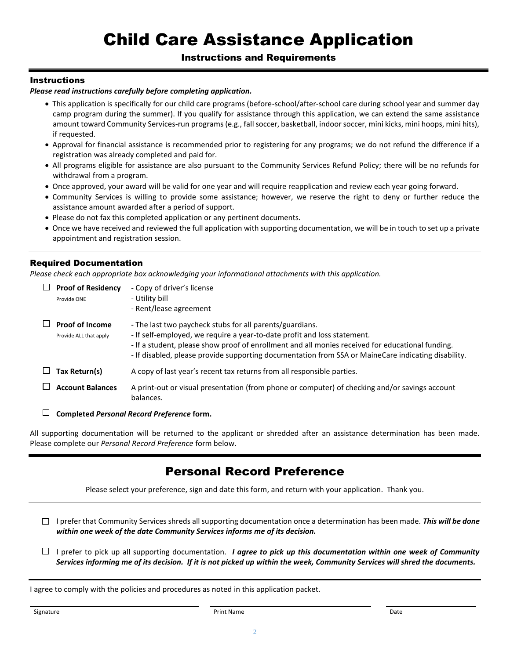# Child Care Assistance Application

### Instructions and Requirements

### **Instructions**

### *Please read instructions carefully before completing application.*

- This application is specifically for our child care programs (before-school/after-school care during school year and summer day camp program during the summer). If you qualify for assistance through this application, we can extend the same assistance amount toward Community Services-run programs (e.g., fall soccer, basketball, indoor soccer, mini kicks, mini hoops, mini hits), if requested.
- Approval for financial assistance is recommended prior to registering for any programs; we do not refund the difference if a registration was already completed and paid for.
- All programs eligible for assistance are also pursuant to the Community Services Refund Policy; there will be no refunds for withdrawal from a program.
- Once approved, your award will be valid for one year and will require reapplication and review each year going forward.
- Community Services is willing to provide some assistance; however, we reserve the right to deny or further reduce the assistance amount awarded after a period of support.
- Please do not fax this completed application or any pertinent documents.
- Once we have received and reviewed the full application with supporting documentation, we will be in touch to set up a private appointment and registration session.

### Required Documentation

*Please check each appropriate box acknowledging your informational attachments with this application.*

| <b>Proof of Residency</b><br>Provide ONE         | - Copy of driver's license<br>- Utility bill<br>- Rent/lease agreement                                                                                                                                                                                                                                                                          |
|--------------------------------------------------|-------------------------------------------------------------------------------------------------------------------------------------------------------------------------------------------------------------------------------------------------------------------------------------------------------------------------------------------------|
| <b>Proof of Income</b><br>Provide ALL that apply | - The last two paycheck stubs for all parents/guardians.<br>- If self-employed, we require a year-to-date profit and loss statement.<br>- If a student, please show proof of enrollment and all monies received for educational funding.<br>- If disabled, please provide supporting documentation from SSA or MaineCare indicating disability. |
| Tax Return(s)                                    | A copy of last year's recent tax returns from all responsible parties.                                                                                                                                                                                                                                                                          |
| <b>Account Balances</b>                          | A print-out or visual presentation (from phone or computer) of checking and/or savings account<br>balances.                                                                                                                                                                                                                                     |

**Completed** *Personal Record Preference* **form.**

All supporting documentation will be returned to the applicant or shredded after an assistance determination has been made. Please complete our *Personal Record Preference* form below.

### Personal Record Preference

Please select your preference, sign and date this form, and return with your application. Thank you.

I prefer that Community Services shreds all supporting documentation once a determination has been made. *This will be done within one week of the date Community Services informs me of its decision.*

 $\Box$  I prefer to pick up all supporting documentation. *I agree to pick up this documentation within one week of Community Services informing me of its decision. If it is not picked up within the week, Community Services will shred the documents.*

I agree to comply with the policies and procedures as noted in this application packet.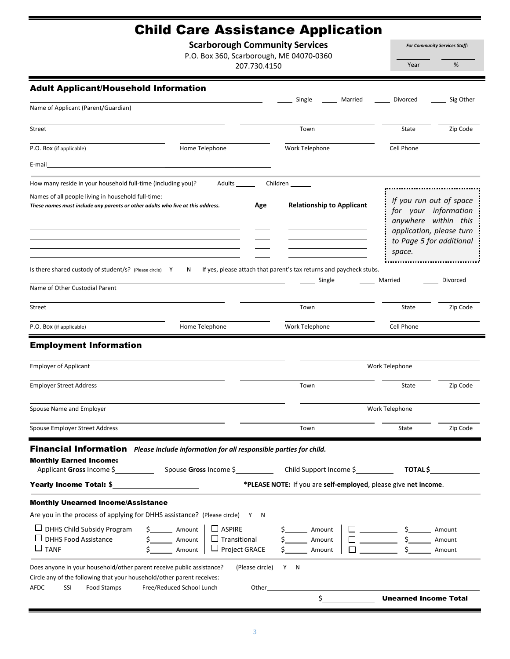## Child Care Assistance Application

**Scarborough Community Services**

P.O. Box 360, Scarborough, ME 04070-0360

207.730.4150

*For Community Services Staff:*

Year %

| <b>Adult Applicant/Household Information</b>                                                                                                                                         |                                                                                                                           | Single<br>Married                                                   | Divorced                                                                                                                                  | Sig Other                  |
|--------------------------------------------------------------------------------------------------------------------------------------------------------------------------------------|---------------------------------------------------------------------------------------------------------------------------|---------------------------------------------------------------------|-------------------------------------------------------------------------------------------------------------------------------------------|----------------------------|
| Name of Applicant (Parent/Guardian)                                                                                                                                                  |                                                                                                                           |                                                                     |                                                                                                                                           |                            |
| Street                                                                                                                                                                               |                                                                                                                           | Town                                                                | State                                                                                                                                     | Zip Code                   |
| P.O. Box (if applicable)                                                                                                                                                             | Home Telephone                                                                                                            | Work Telephone                                                      | Cell Phone                                                                                                                                |                            |
| E-mail                                                                                                                                                                               |                                                                                                                           |                                                                     |                                                                                                                                           |                            |
| How many reside in your household full-time (including you)?                                                                                                                         | Adults _______                                                                                                            | Children _______                                                    |                                                                                                                                           |                            |
| Names of all people living in household full-time:<br>These names must include any parents or other adults who live at this address.                                                 | Age                                                                                                                       | <b>Relationship to Applicant</b>                                    | If you run out of space<br>for your information<br>anywhere within this<br>application, please turn<br>to Page 5 for additional<br>space. |                            |
| Is there shared custody of student/s? (Please circle) Y                                                                                                                              | N                                                                                                                         | If yes, please attach that parent's tax returns and paycheck stubs. |                                                                                                                                           |                            |
| Name of Other Custodial Parent                                                                                                                                                       |                                                                                                                           | Single                                                              | Married                                                                                                                                   | Divorced                   |
| <b>Street</b>                                                                                                                                                                        |                                                                                                                           | Town                                                                | State                                                                                                                                     | Zip Code                   |
| P.O. Box (if applicable)                                                                                                                                                             | Home Telephone                                                                                                            | Work Telephone                                                      | Cell Phone                                                                                                                                |                            |
| <b>Employment Information</b><br><b>Employer of Applicant</b>                                                                                                                        |                                                                                                                           |                                                                     | Work Telephone                                                                                                                            |                            |
| <b>Employer Street Address</b>                                                                                                                                                       |                                                                                                                           | Town                                                                | State                                                                                                                                     | Zip Code                   |
| Spouse Name and Employer                                                                                                                                                             |                                                                                                                           |                                                                     | Work Telephone                                                                                                                            |                            |
| Spouse Employer Street Address                                                                                                                                                       |                                                                                                                           | Town                                                                | State                                                                                                                                     | Zip Code                   |
| Financial Information Please include information for all responsible parties for child.                                                                                              |                                                                                                                           |                                                                     |                                                                                                                                           |                            |
| <b>Monthly Earned Income:</b>                                                                                                                                                        |                                                                                                                           |                                                                     | <b>TOTAL \$</b>                                                                                                                           |                            |
| Yearly Income Total: \$                                                                                                                                                              |                                                                                                                           | *PLEASE NOTE: If you are self-employed, please give net income.     |                                                                                                                                           |                            |
| <b>Monthly Unearned Income/Assistance</b>                                                                                                                                            |                                                                                                                           |                                                                     |                                                                                                                                           |                            |
| Are you in the process of applying for DHHS assistance? (Please circle) Y N                                                                                                          |                                                                                                                           |                                                                     |                                                                                                                                           |                            |
| $\Box$ DHHS Child Subsidy Program<br>$\Box$ DHHS Food Assistance<br>$\Box$ TANF                                                                                                      | $\Box$ ASPIRE<br>$\frac{1}{2}$ Amount<br>$\Box$ Transitional<br>$\frac{2}{5}$ Amount<br>$\Box$ Project GRACE<br>\$ Amount | $\mathsf{\$}$<br>Amount<br>Amount<br>Amount                         | $\square$ $\qquad$ $\sim$ $\sim$ $\sim$                                                                                                   | Amount<br>Amount<br>Amount |
| Does anyone in your household/other parent receive public assistance?<br>Circle any of the following that your household/other parent receives:<br><b>AFDC</b><br>SSI<br>Food Stamps | (Please circle)<br>Free/Reduced School Lunch<br>Other                                                                     | Y N                                                                 |                                                                                                                                           |                            |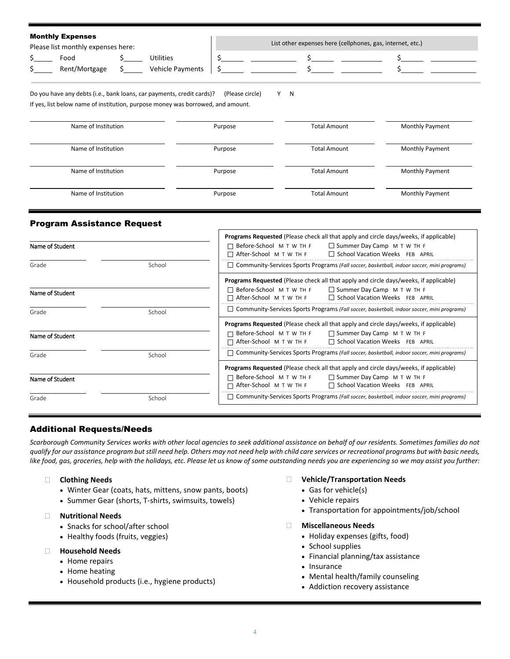| <b>Monthly Expenses</b><br>Please list monthly expenses here: |                                      | List other expenses here (cellphones, gas, internet, etc.) |  |
|---------------------------------------------------------------|--------------------------------------|------------------------------------------------------------|--|
| Food<br>Rent/Mortgage                                         | Utilities<br><b>Vehicle Payments</b> |                                                            |  |

Do you have any debts (i.e., bank loans, car payments, credit cards)? (Please circle) Y N If yes, list below name of institution, purpose money was borrowed, and amount.

| Name of Institution | Purpose | <b>Total Amount</b> | <b>Monthly Payment</b> |
|---------------------|---------|---------------------|------------------------|
| Name of Institution | Purpose | <b>Total Amount</b> | <b>Monthly Payment</b> |
| Name of Institution | Purpose | <b>Total Amount</b> | <b>Monthly Payment</b> |
| Name of Institution | Purpose | <b>Total Amount</b> | <b>Monthly Payment</b> |

### Program Assistance Request

|                 |        | Programs Requested (Please check all that apply and circle days/weeks, if applicable)                                               |  |  |  |  |  |
|-----------------|--------|-------------------------------------------------------------------------------------------------------------------------------------|--|--|--|--|--|
| Name of Student |        | □ Before-School M T W TH F<br>$\Box$ Summer Day Camp $\ M$ T W TH F<br>□ School Vacation Weeks FEB APRIL<br>□ After-School MTW TH F |  |  |  |  |  |
| Grade           | School | $\Box$ Community-Services Sports Programs (Fall soccer, basketball, indoor soccer, mini programs)                                   |  |  |  |  |  |
|                 |        | <b>Programs Requested</b> (Please check all that apply and circle days/weeks, if applicable)                                        |  |  |  |  |  |
| Name of Student |        | $\Box$ Before-School M T W TH F $\Box$ Summer Day Camp M T W TH F<br>∩ After-School мтw тн ғ<br>School Vacation Weeks FEB APRIL     |  |  |  |  |  |
| School<br>Grade |        | $\Box$ Community-Services Sports Programs (Fall soccer, basketball, indoor soccer, mini programs)                                   |  |  |  |  |  |
|                 |        | <b>Programs Requested</b> (Please check all that apply and circle days/weeks, if applicable)                                        |  |  |  |  |  |
| Name of Student |        | $\Box$ Before-School M T W TH F $\Box$ Summer Day Camp M T W TH F<br>After-School M T W TH F □ School Vacation Weeks FEB APRIL      |  |  |  |  |  |
| Grade           | School | Community-Services Sports Programs (Fall soccer, basketball, indoor soccer, mini programs)                                          |  |  |  |  |  |
|                 |        | <b>Programs Requested</b> (Please check all that apply and circle days/weeks, if applicable)                                        |  |  |  |  |  |
| Name of Student |        | $\Box$ Before-School M T W TH F $\Box$ Summer Day Camp M T W TH F<br>After-School M T W TH F □ School Vacation Weeks FEB APRIL<br>⊓ |  |  |  |  |  |
| Grade           | School | Community-Services Sports Programs (Fall soccer, basketball, indoor soccer, mini programs)<br>- 1                                   |  |  |  |  |  |

### Additional Requests/Needs

*Scarborough Community Services works with other local agencies to seek additional assistance on behalf of our residents. Sometimes families do not qualify for our assistance program but still need help. Others may not need help with child care services or recreational programs but with basic needs, like food, gas, groceries, help with the holidays, etc. Please let us know of some outstanding needs you are experiencing so we may assist you further:*

- **Clothing Needs**
	- Winter Gear (coats, hats, mittens, snow pants, boots)
	- Summer Gear (shorts, T-shirts, swimsuits, towels)
- **Nutritional Needs**
	- Snacks for school/after school
	- Healthy foods (fruits, veggies)
- **Household Needs**
	- Home repairs
	- Home heating
	- Household products (i.e., hygiene products)
- **Vehicle/Transportation Needs**
	- Gas for vehicle(s)
	- Vehicle repairs
	- Transportation for appointments/job/school
- **Miscellaneous Needs**
	- Holiday expenses (gifts, food)
	- School supplies
		- Financial planning/tax assistance
		- Insurance
		- Mental health/family counseling
		- Addiction recovery assistance